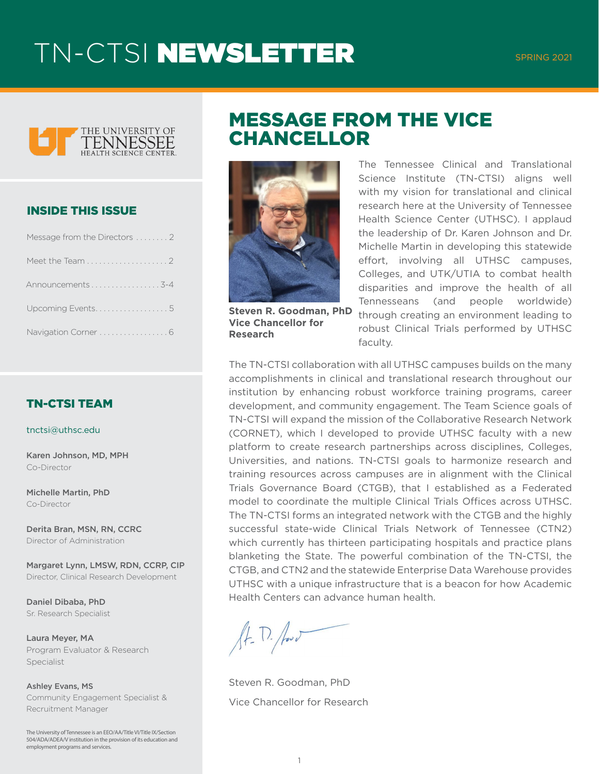

#### INSIDE THIS ISSUE

| Message from the Directors 2 |
|------------------------------|
|                              |
| Announcements3-4             |
| Upcoming Events5             |
| Navigation Corner  6         |

#### TN-CTSI TEAM

tnctsi@uthsc.edu

Karen Johnson, MD, MPH Co-Director

Michelle Martin, PhD Co-Director

Derita Bran, MSN, RN, CCRC Director of Administration

Margaret Lynn, LMSW, RDN, CCRP, CIP Director, Clinical Research Development

Daniel Dibaba, PhD Sr. Research Specialist

Laura Meyer, MA Program Evaluator & Research Specialist

Ashley Evans, MS Community Engagement Specialist & Recruitment Manager

The University of Tennessee is an EEO/AA/Title VI/Title IX/Section 504/ADA/ADEA/V institution in the provision of its education and employment programs and services.

### MESSAGE FROM THE VICE **CHANCELLOR**



**Steven R. Goodman, PhD Vice Chancellor for Research**

The Tennessee Clinical and Translational Science Institute (TN-CTSI) aligns well with my vision for translational and clinical research here at the University of Tennessee Health Science Center (UTHSC). I applaud the leadership of Dr. Karen Johnson and Dr. Michelle Martin in developing this statewide effort, involving all UTHSC campuses, Colleges, and UTK/UTIA to combat health disparities and improve the health of all Tennesseans (and people worldwide) through creating an environment leading to robust Clinical Trials performed by UTHSC faculty.

The TN-CTSI collaboration with all UTHSC campuses builds on the many accomplishments in clinical and translational research throughout our institution by enhancing robust workforce training programs, career development, and community engagement. The Team Science goals of TN-CTSI will expand the mission of the Collaborative Research Network (CORNET), which I developed to provide UTHSC faculty with a new platform to create research partnerships across disciplines, Colleges, Universities, and nations. TN-CTSI goals to harmonize research and training resources across campuses are in alignment with the Clinical Trials Governance Board (CTGB), that I established as a Federated model to coordinate the multiple Clinical Trials Offices across UTHSC. The TN-CTSI forms an integrated network with the CTGB and the highly successful state-wide Clinical Trials Network of Tennessee (CTN2) which currently has thirteen participating hospitals and practice plans blanketing the State. The powerful combination of the TN-CTSI, the CTGB, and CTN2 and the statewide Enterprise Data Warehouse provides UTHSC with a unique infrastructure that is a beacon for how Academic Health Centers can advance human health.

 $\sqrt{4-\Gamma}$ . post

Steven R. Goodman, PhD Vice Chancellor for Research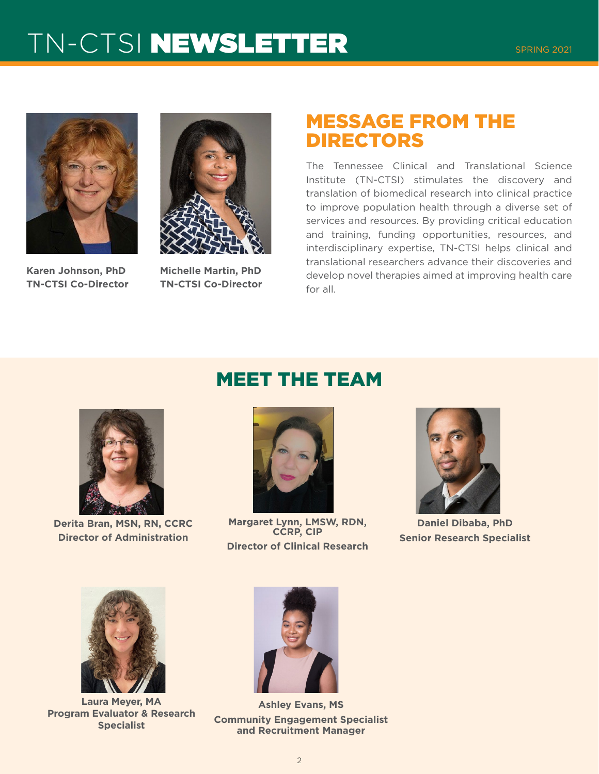

**Karen Johnson, PhD TN-CTSI Co-Director**



**Michelle Martin, PhD TN-CTSI Co-Director**

### MESSAGE FROM THE DIRECTORS

The Tennessee Clinical and Translational Science Institute (TN-CTSI) stimulates the discovery and translation of biomedical research into clinical practice to improve population health through a diverse set of services and resources. By providing critical education and training, funding opportunities, resources, and interdisciplinary expertise, TN-CTSI helps clinical and translational researchers advance their discoveries and develop novel therapies aimed at improving health care for all.



**Derita Bran, MSN, RN, CCRC Director of Administration**

### MEET THE TEAM



**Margaret Lynn, LMSW, RDN, CCRP, CIP Director of Clinical Research** 



**Daniel Dibaba, PhD Senior Research Specialist**



**Laura Meyer, MA Program Evaluator & Research Specialist**



**Ashley Evans, MS Community Engagement Specialist and Recruitment Manager**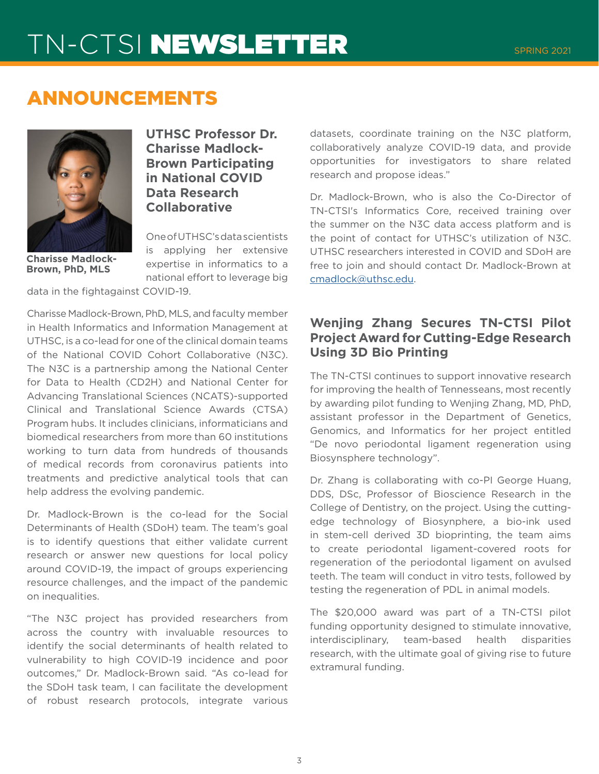### ANNOUNCEMENTS



**UTHSC Professor Dr. Charisse Madlock-Brown Participating in National COVID Data Research Collaborative**

**Charisse Madlock-Brown, PhD, MLS**

One of UTHSC's data scientists is applying her extensive expertise in informatics to a national effort to leverage big

data in the fightagainst COVID-19.

Charisse Madlock-Brown, PhD, MLS, and faculty member in Health Informatics and Information Management at UTHSC, is a co-lead for one of the clinical domain teams of the National COVID Cohort Collaborative (N3C). The N3C is a partnership among the National Center for Data to Health (CD2H) and National Center for Advancing Translational Sciences (NCATS)-supported Clinical and Translational Science Awards (CTSA) Program hubs. It includes clinicians, informaticians and biomedical researchers from more than 60 institutions working to turn data from hundreds of thousands of medical records from coronavirus patients into treatments and predictive analytical tools that can help address the evolving pandemic.

Dr. Madlock-Brown is the co-lead for the Social Determinants of Health (SDoH) team. The team's goal is to identify questions that either validate current research or answer new questions for local policy around COVID-19, the impact of groups experiencing resource challenges, and the impact of the pandemic on inequalities.

"The N3C project has provided researchers from across the country with invaluable resources to identify the social determinants of health related to vulnerability to high COVID-19 incidence and poor outcomes," Dr. Madlock-Brown said. "As co-lead for the SDoH task team, I can facilitate the development of robust research protocols, integrate various

datasets, coordinate training on the N3C platform, collaboratively analyze COVID-19 data, and provide opportunities for investigators to share related research and propose ideas."

Dr. Madlock-Brown, who is also the Co-Director of TN-CTSI's Informatics Core, received training over the summer on the N3C data access platform and is the point of contact for UTHSC's utilization of N3C. UTHSC researchers interested in COVID and SDoH are free to join and should contact Dr. Madlock-Brown at [cmadlock@uthsc.edu.](mailto:cmadlock%40uthsc.edu?subject=)

### **Wenjing Zhang Secures TN-CTSI Pilot Project Award for Cutting-Edge Research Using 3D Bio Printing**

The TN-CTSI continues to support innovative research for improving the health of Tennesseans, most recently by awarding pilot funding to Wenjing Zhang, MD, PhD, assistant professor in the Department of Genetics, Genomics, and Informatics for her project entitled "De novo periodontal ligament regeneration using Biosynsphere technology".

Dr. Zhang is collaborating with co-PI George Huang, DDS, DSc, Professor of Bioscience Research in the College of Dentistry, on the project. Using the cuttingedge technology of Biosynphere, a bio-ink used in stem-cell derived 3D bioprinting, the team aims to create periodontal ligament-covered roots for regeneration of the periodontal ligament on avulsed teeth. The team will conduct in vitro tests, followed by testing the regeneration of PDL in animal models.

The \$20,000 award was part of a TN-CTSI pilot funding opportunity designed to stimulate innovative, interdisciplinary, team-based health disparities research, with the ultimate goal of giving rise to future extramural funding.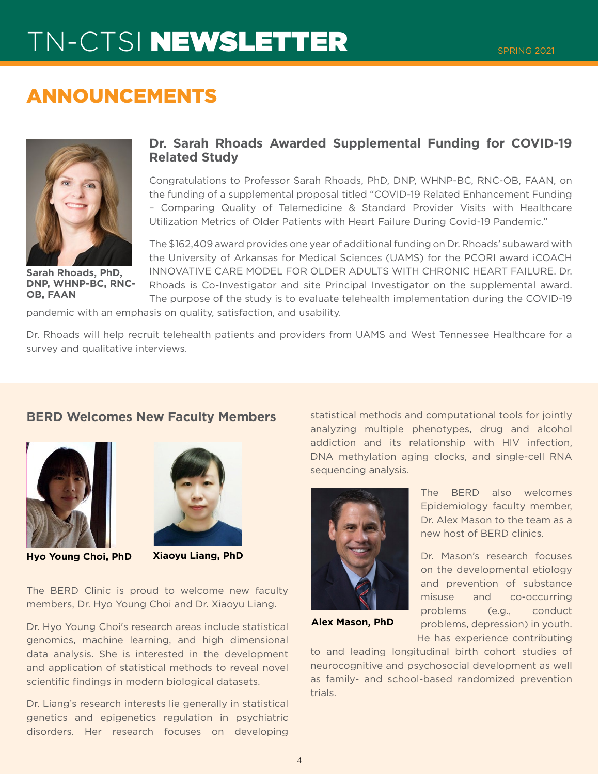### ANNOUNCEMENTS



**Sarah Rhoads, PhD, DNP, WHNP-BC, RNC-OB, FAAN**

#### **Dr. Sarah Rhoads Awarded Supplemental Funding for COVID-19 Related Study**

Congratulations to Professor Sarah Rhoads, PhD, DNP, WHNP-BC, RNC-OB, FAAN, on the funding of a supplemental proposal titled "COVID-19 Related Enhancement Funding – Comparing Quality of Telemedicine & Standard Provider Visits with Healthcare Utilization Metrics of Older Patients with Heart Failure During Covid-19 Pandemic."

The \$162,409 award provides one year of additional funding on Dr. Rhoads' subaward with the University of Arkansas for Medical Sciences (UAMS) for the PCORI award iCOACH INNOVATIVE CARE MODEL FOR OLDER ADULTS WITH CHRONIC HEART FAILURE. Dr. Rhoads is Co-Investigator and site Principal Investigator on the supplemental award. The purpose of the study is to evaluate telehealth implementation during the COVID-19

pandemic with an emphasis on quality, satisfaction, and usability.

Dr. Rhoads will help recruit telehealth patients and providers from UAMS and West Tennessee Healthcare for a survey and qualitative interviews.

#### **BERD Welcomes New Faculty Members**





**Hyo Young Choi, PhD Xiaoyu Liang, PhD**

The BERD Clinic is proud to welcome new faculty members, Dr. Hyo Young Choi and Dr. Xiaoyu Liang.

Dr. Hyo Young Choi's research areas include statistical genomics, machine learning, and high dimensional data analysis. She is interested in the development and application of statistical methods to reveal novel scientific findings in modern biological datasets.

Dr. Liang's research interests lie generally in statistical genetics and epigenetics regulation in psychiatric disorders. Her research focuses on developing

statistical methods and computational tools for jointly analyzing multiple phenotypes, drug and alcohol addiction and its relationship with HIV infection, DNA methylation aging clocks, and single-cell RNA sequencing analysis.



**Alex Mason, PhD**

to and leading longitudinal birth cohort studies of neurocognitive and psychosocial development as well as family- and school-based randomized prevention trials.

The BERD also welcomes Epidemiology faculty member, Dr. Alex Mason to the team as a new host of BERD clinics.

Dr. Mason's research focuses on the developmental etiology and prevention of substance misuse and co-occurring problems (e.g., conduct problems, depression) in youth. He has experience contributing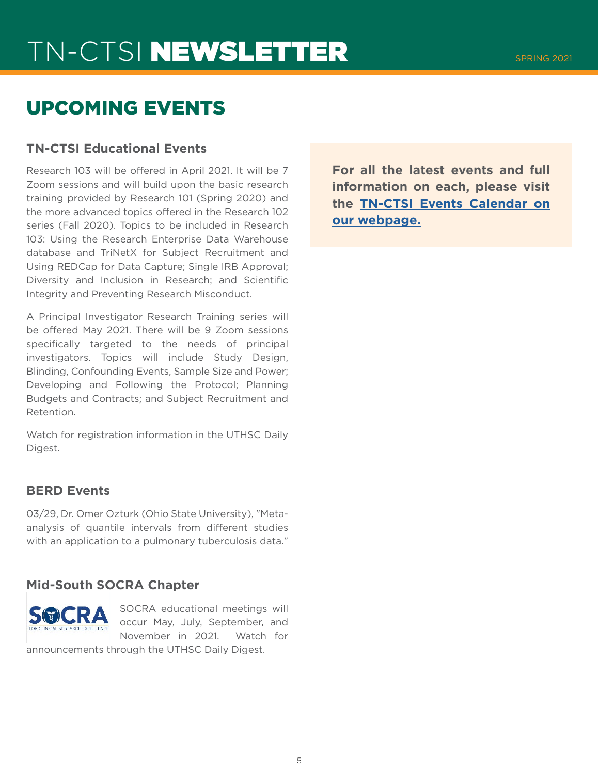### UPCOMING EVENTS

#### **TN-CTSI Educational Events**

Research 103 will be offered in April 2021. It will be 7 Zoom sessions and will build upon the basic research training provided by Research 101 (Spring 2020) and the more advanced topics offered in the Research 102 series (Fall 2020). Topics to be included in Research 103: Using the Research Enterprise Data Warehouse database and TriNetX for Subject Recruitment and Using REDCap for Data Capture; Single IRB Approval; Diversity and Inclusion in Research; and Scientific Integrity and Preventing Research Misconduct.

A Principal Investigator Research Training series will be offered May 2021. There will be 9 Zoom sessions specifically targeted to the needs of principal investigators. Topics will include Study Design, Blinding, Confounding Events, Sample Size and Power; Developing and Following the Protocol; Planning Budgets and Contracts; and Subject Recruitment and Retention.

Watch for registration information in the UTHSC Daily Digest.

#### **BERD Events**

03/29, Dr. Omer Ozturk (Ohio State University), "Metaanalysis of quantile intervals from different studies with an application to a pulmonary tuberculosis data."

#### **Mid-South SOCRA Chapter**



SOCRA educational meetings will occur May, July, September, and November in 2021. Watch for

announcements through the UTHSC Daily Digest.

**For all the latest events and full information on each, please visit the [TN-CTSI Events Calendar on](https://tnctsi.uthsc.edu/
) [our webpage.](https://tnctsi.uthsc.edu/
)**